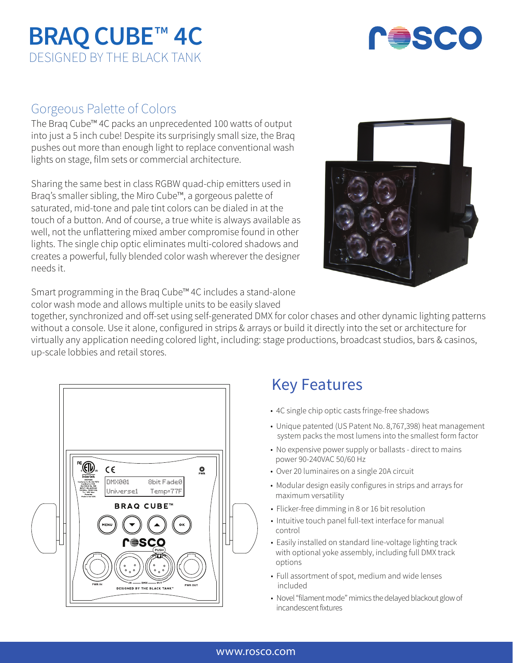# **BRAQ CUBE**™ **4C** DESIGNED BY THE BLACK TANK



### Gorgeous Palette of Colors

The Braq Cube™ 4C packs an unprecedented 100 watts of output into just a 5 inch cube! Despite its surprisingly small size, the Braq pushes out more than enough light to replace conventional wash lights on stage, film sets or commercial architecture.

Sharing the same best in class RGBW quad-chip emitters used in Braq's smaller sibling, the Miro Cube™, a gorgeous palette of saturated, mid-tone and pale tint colors can be dialed in at the touch of a button. And of course, a true white is always available as well, not the unflattering mixed amber compromise found in other lights. The single chip optic eliminates multi-colored shadows and creates a powerful, fully blended color wash wherever the designer needs it.



Smart programming in the Braq Cube™ 4C includes a stand-alone color wash mode and allows multiple units to be easily slaved

together, synchronized and off-set using self-generated DMX for color chases and other dynamic lighting patterns without a console. Use it alone, configured in strips & arrays or build it directly into the set or architecture for virtually any application needing colored light, including: stage productions, broadcast studios, bars & casinos, up-scale lobbies and retail stores.



### Key Features

- 4C single chip optic casts fringe-free shadows
- Unique patented (US Patent No. 8,767,398) heat management system packs the most lumens into the smallest form factor
- No expensive power supply or ballasts direct to mains power 90-240VAC 50/60 Hz
- Over 20 luminaires on a single 20A circuit
- Modular design easily configures in strips and arrays for maximum versatility
- Flicker-free dimming in 8 or 16 bit resolution
- Intuitive touch panel full-text interface for manual control
- Easily installed on standard line-voltage lighting track with optional yoke assembly, including full DMX track options
- Full assortment of spot, medium and wide lenses included
- Novel "filament mode" mimics the delayed blackout glow of incandescent fixtures